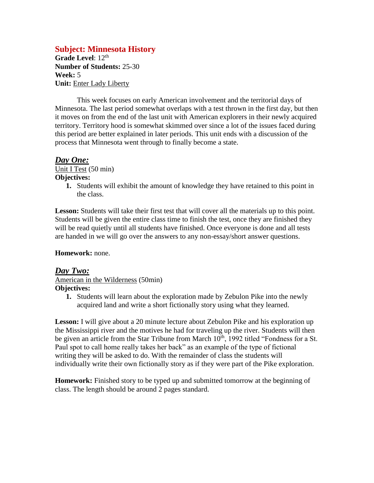## **Subject: Minnesota History**

Grade Level: 12<sup>th</sup> **Number of Students:** 25-30 **Week:** 5 **Unit:** Enter Lady Liberty

This week focuses on early American involvement and the territorial days of Minnesota. The last period somewhat overlaps with a test thrown in the first day, but then it moves on from the end of the last unit with American explorers in their newly acquired territory. Territory hood is somewhat skimmed over since a lot of the issues faced during this period are better explained in later periods. This unit ends with a discussion of the process that Minnesota went through to finally become a state.

### *Day One:*

Unit I Test (50 min) **Objectives:**

> **1.** Students will exhibit the amount of knowledge they have retained to this point in the class.

**Lesson:** Students will take their first test that will cover all the materials up to this point. Students will be given the entire class time to finish the test, once they are finished they will be read quietly until all students have finished. Once everyone is done and all tests are handed in we will go over the answers to any non-essay/short answer questions.

### **Homework:** none.

### *Day Two:* American in the Wilderness (50min) **Objectives:**

**1.** Students will learn about the exploration made by Zebulon Pike into the newly acquired land and write a short fictionally story using what they learned.

**Lesson:** I will give about a 20 minute lecture about Zebulon Pike and his exploration up the Mississippi river and the motives he had for traveling up the river. Students will then be given an article from the Star Tribune from March 10<sup>th</sup>, 1992 titled "Fondness for a St. Paul spot to call home really takes her back" as an example of the type of fictional writing they will be asked to do. With the remainder of class the students will individually write their own fictionally story as if they were part of the Pike exploration.

**Homework:** Finished story to be typed up and submitted tomorrow at the beginning of class. The length should be around 2 pages standard.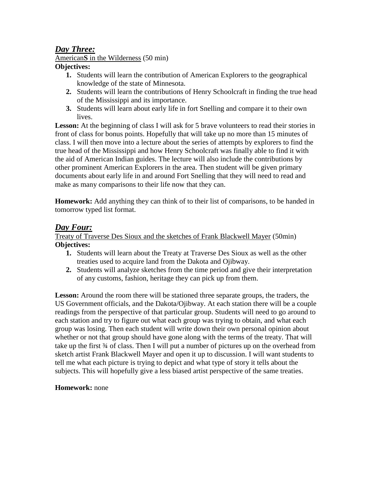# *Day Three:*

American**S** in the Wilderness (50 min)

### **Objectives:**

- **1.** Students will learn the contribution of American Explorers to the geographical knowledge of the state of Minnesota.
- **2.** Students will learn the contributions of Henry Schoolcraft in finding the true head of the Mississippi and its importance.
- **3.** Students will learn about early life in fort Snelling and compare it to their own lives.

Lesson: At the beginning of class I will ask for 5 brave volunteers to read their stories in front of class for bonus points. Hopefully that will take up no more than 15 minutes of class. I will then move into a lecture about the series of attempts by explorers to find the true head of the Mississippi and how Henry Schoolcraft was finally able to find it with the aid of American Indian guides. The lecture will also include the contributions by other prominent American Explorers in the area. Then student will be given primary documents about early life in and around Fort Snelling that they will need to read and make as many comparisons to their life now that they can.

**Homework:** Add anything they can think of to their list of comparisons, to be handed in tomorrow typed list format.

# *Day Four:*

Treaty of Traverse Des Sioux and the sketches of Frank Blackwell Mayer (50min) **Objectives:**

- **1.** Students will learn about the Treaty at Traverse Des Sioux as well as the other treaties used to acquire land from the Dakota and Ojibway.
- **2.** Students will analyze sketches from the time period and give their interpretation of any customs, fashion, heritage they can pick up from them.

Lesson: Around the room there will be stationed three separate groups, the traders, the US Government officials, and the Dakota/Ojibway. At each station there will be a couple readings from the perspective of that particular group. Students will need to go around to each station and try to figure out what each group was trying to obtain, and what each group was losing. Then each student will write down their own personal opinion about whether or not that group should have gone along with the terms of the treaty. That will take up the first  $\frac{3}{4}$  of class. Then I will put a number of pictures up on the overhead from sketch artist Frank Blackwell Mayer and open it up to discussion. I will want students to tell me what each picture is trying to depict and what type of story it tells about the subjects. This will hopefully give a less biased artist perspective of the same treaties.

## **Homework:** none